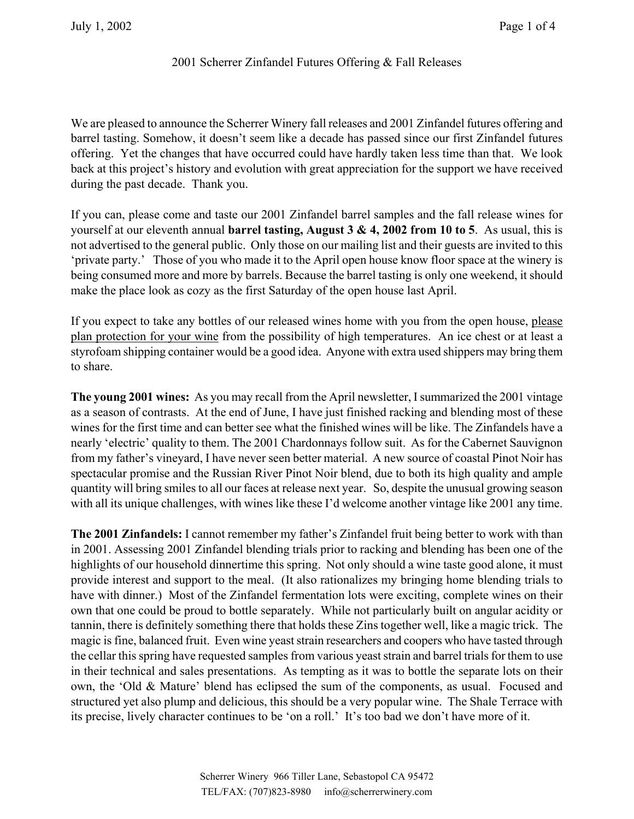# 2001 Scherrer Zinfandel Futures Offering & Fall Releases

We are pleased to announce the Scherrer Winery fall releases and 2001 Zinfandel futures offering and barrel tasting. Somehow, it doesn't seem like a decade has passed since our first Zinfandel futures offering. Yet the changes that have occurred could have hardly taken less time than that. We look back at this project's history and evolution with great appreciation for the support we have received during the past decade. Thank you.

If you can, please come and taste our 2001 Zinfandel barrel samples and the fall release wines for yourself at our eleventh annual **barrel tasting, August 3 & 4, 2002 from 10 to 5**. As usual, this is not advertised to the general public. Only those on our mailing list and their guests are invited to this 'private party.' Those of you who made it to the April open house know floor space at the winery is being consumed more and more by barrels. Because the barrel tasting is only one weekend, it should make the place look as cozy as the first Saturday of the open house last April.

If you expect to take any bottles of our released wines home with you from the open house, please plan protection for your wine from the possibility of high temperatures. An ice chest or at least a styrofoam shipping container would be a good idea. Anyone with extra used shippers may bring them to share.

**The young 2001 wines:** As you may recall from the April newsletter, I summarized the 2001 vintage as a season of contrasts. At the end of June, I have just finished racking and blending most of these wines for the first time and can better see what the finished wines will be like. The Zinfandels have a nearly 'electric' quality to them. The 2001 Chardonnays follow suit. As for the Cabernet Sauvignon from my father's vineyard, I have never seen better material. A new source of coastal Pinot Noir has spectacular promise and the Russian River Pinot Noir blend, due to both its high quality and ample quantity will bring smiles to all our faces at release next year. So, despite the unusual growing season with all its unique challenges, with wines like these I'd welcome another vintage like 2001 any time.

**The 2001 Zinfandels:** I cannot remember my father's Zinfandel fruit being better to work with than in 2001. Assessing 2001 Zinfandel blending trials prior to racking and blending has been one of the highlights of our household dinnertime this spring. Not only should a wine taste good alone, it must provide interest and support to the meal. (It also rationalizes my bringing home blending trials to have with dinner.) Most of the Zinfandel fermentation lots were exciting, complete wines on their own that one could be proud to bottle separately. While not particularly built on angular acidity or tannin, there is definitely something there that holds these Zins together well, like a magic trick. The magic is fine, balanced fruit. Even wine yeast strain researchers and coopers who have tasted through the cellar this spring have requested samples from various yeast strain and barrel trials for them to use in their technical and sales presentations. As tempting as it was to bottle the separate lots on their own, the 'Old & Mature' blend has eclipsed the sum of the components, as usual. Focused and structured yet also plump and delicious, this should be a very popular wine. The Shale Terrace with its precise, lively character continues to be 'on a roll.' It's too bad we don't have more of it.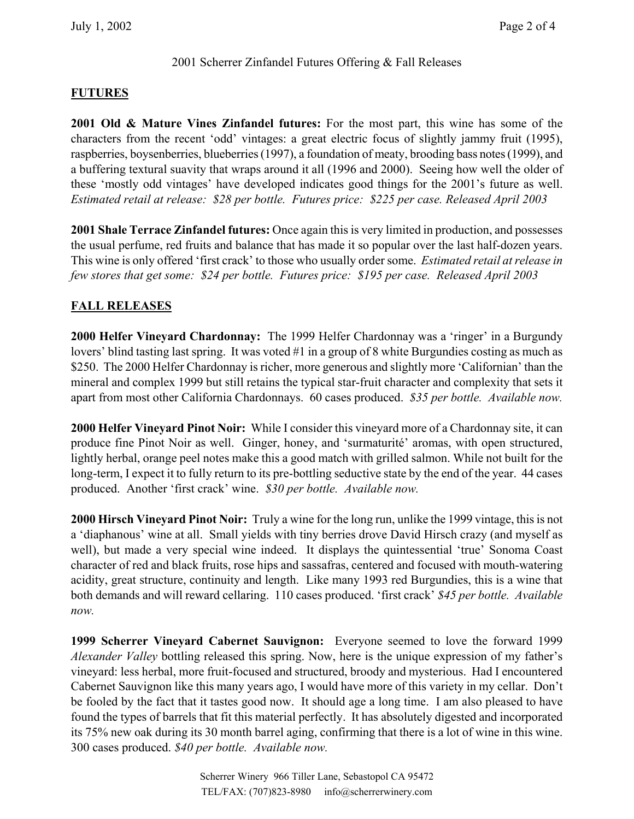#### 2001 Scherrer Zinfandel Futures Offering & Fall Releases

### **FUTURES**

**2001 Old & Mature Vines Zinfandel futures:** For the most part, this wine has some of the characters from the recent 'odd' vintages: a great electric focus of slightly jammy fruit (1995), raspberries, boysenberries, blueberries (1997), a foundation of meaty, brooding bass notes (1999), and a buffering textural suavity that wraps around it all (1996 and 2000). Seeing how well the older of these 'mostly odd vintages' have developed indicates good things for the 2001's future as well. *Estimated retail at release: \$28 per bottle. Futures price: \$225 per case. Released April 2003* 

**2001 Shale Terrace Zinfandel futures:** Once again this is very limited in production, and possesses the usual perfume, red fruits and balance that has made it so popular over the last half-dozen years. This wine is only offered 'first crack' to those who usually order some. *Estimated retail at release in few stores that get some: \$24 per bottle. Futures price: \$195 per case. Released April 2003*

## **FALL RELEASES**

**2000 Helfer Vineyard Chardonnay:** The 1999 Helfer Chardonnay was a 'ringer' in a Burgundy lovers' blind tasting last spring. It was voted #1 in a group of 8 white Burgundies costing as much as \$250. The 2000 Helfer Chardonnay is richer, more generous and slightly more 'Californian' than the mineral and complex 1999 but still retains the typical star-fruit character and complexity that sets it apart from most other California Chardonnays. 60 cases produced. *\$35 per bottle. Available now.*

**2000 Helfer Vineyard Pinot Noir:** While I consider this vineyard more of a Chardonnay site, it can produce fine Pinot Noir as well. Ginger, honey, and 'surmaturité' aromas, with open structured, lightly herbal, orange peel notes make this a good match with grilled salmon. While not built for the long-term, I expect it to fully return to its pre-bottling seductive state by the end of the year. 44 cases produced. Another 'first crack' wine. *\$30 per bottle. Available now.*

**2000 Hirsch Vineyard Pinot Noir:** Truly a wine for the long run, unlike the 1999 vintage, this is not a 'diaphanous' wine at all. Small yields with tiny berries drove David Hirsch crazy (and myself as well), but made a very special wine indeed. It displays the quintessential 'true' Sonoma Coast character of red and black fruits, rose hips and sassafras, centered and focused with mouth-watering acidity, great structure, continuity and length. Like many 1993 red Burgundies, this is a wine that both demands and will reward cellaring. 110 cases produced. 'first crack' *\$45 per bottle. Available now.* 

**1999 Scherrer Vineyard Cabernet Sauvignon:** Everyone seemed to love the forward 1999 *Alexander Valley* bottling released this spring. Now, here is the unique expression of my father's vineyard: less herbal, more fruit-focused and structured, broody and mysterious. Had I encountered Cabernet Sauvignon like this many years ago, I would have more of this variety in my cellar. Don't be fooled by the fact that it tastes good now. It should age a long time. I am also pleased to have found the types of barrels that fit this material perfectly. It has absolutely digested and incorporated its 75% new oak during its 30 month barrel aging, confirming that there is a lot of wine in this wine. 300 cases produced. *\$40 per bottle. Available now.*